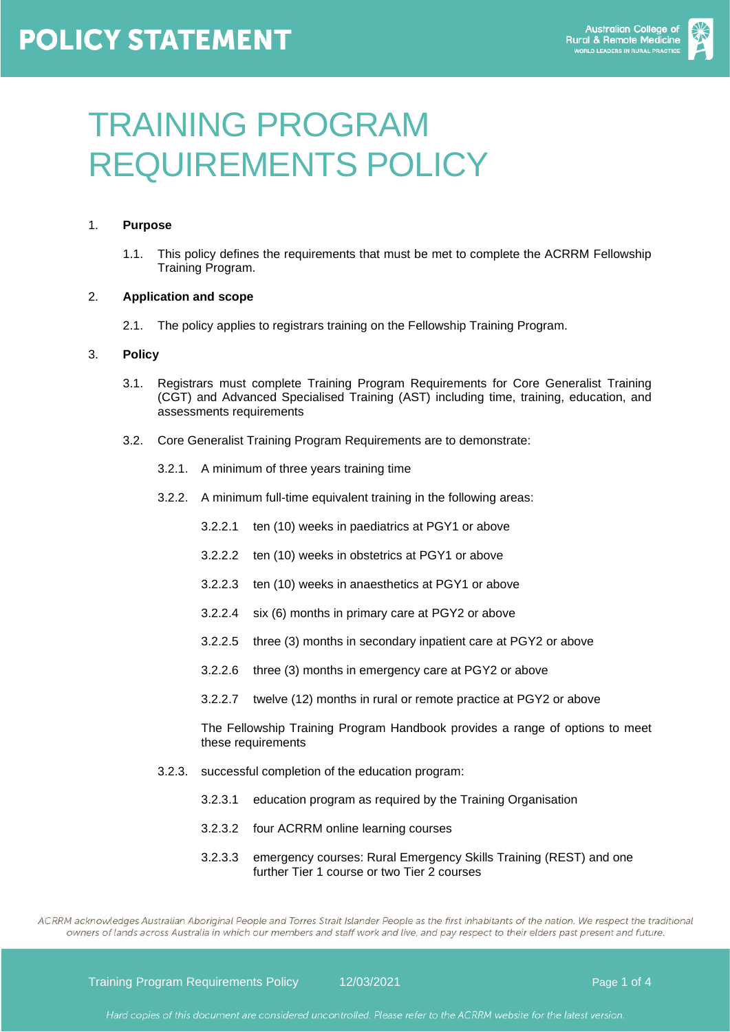# **POLICY STATEMENT**



# TRAINING PROGRAM REQUIREMENTS POLICY

## 1. **Purpose**

1.1. This policy defines the requirements that must be met to complete the ACRRM Fellowship Training Program.

### 2. **Application and scope**

2.1. The policy applies to registrars training on the Fellowship Training Program.

#### 3. **Policy**

- 3.1. Registrars must complete Training Program Requirements for Core Generalist Training (CGT) and Advanced Specialised Training (AST) including time, training, education, and assessments requirements
- 3.2. Core Generalist Training Program Requirements are to demonstrate:
	- 3.2.1. A minimum of three years training time
	- 3.2.2. A minimum full-time equivalent training in the following areas:
		- 3.2.2.1 ten (10) weeks in paediatrics at PGY1 or above
		- 3.2.2.2 ten (10) weeks in obstetrics at PGY1 or above
		- 3.2.2.3 ten (10) weeks in anaesthetics at PGY1 or above
		- 3.2.2.4 six (6) months in primary care at PGY2 or above
		- 3.2.2.5 three (3) months in secondary inpatient care at PGY2 or above
		- 3.2.2.6 three (3) months in emergency care at PGY2 or above
		- 3.2.2.7 twelve (12) months in rural or remote practice at PGY2 or above

The Fellowship Training Program Handbook provides a range of options to meet these requirements

- 3.2.3. successful completion of the education program:
	- 3.2.3.1 education program as required by the Training Organisation
	- 3.2.3.2 four ACRRM online learning courses
	- 3.2.3.3 emergency courses: Rural Emergency Skills Training (REST) and one further Tier 1 course or two Tier 2 courses

ACRRM acknowledges Australian Aboriginal People and Torres Strait Islander People as the first inhabitants of the nation. We respect the traditional owners of lands across Australia in which our members and staff work and live, and pay respect to their elders past present and future.

Training Program Requirements Policy 12/03/2021 Page 1 of 4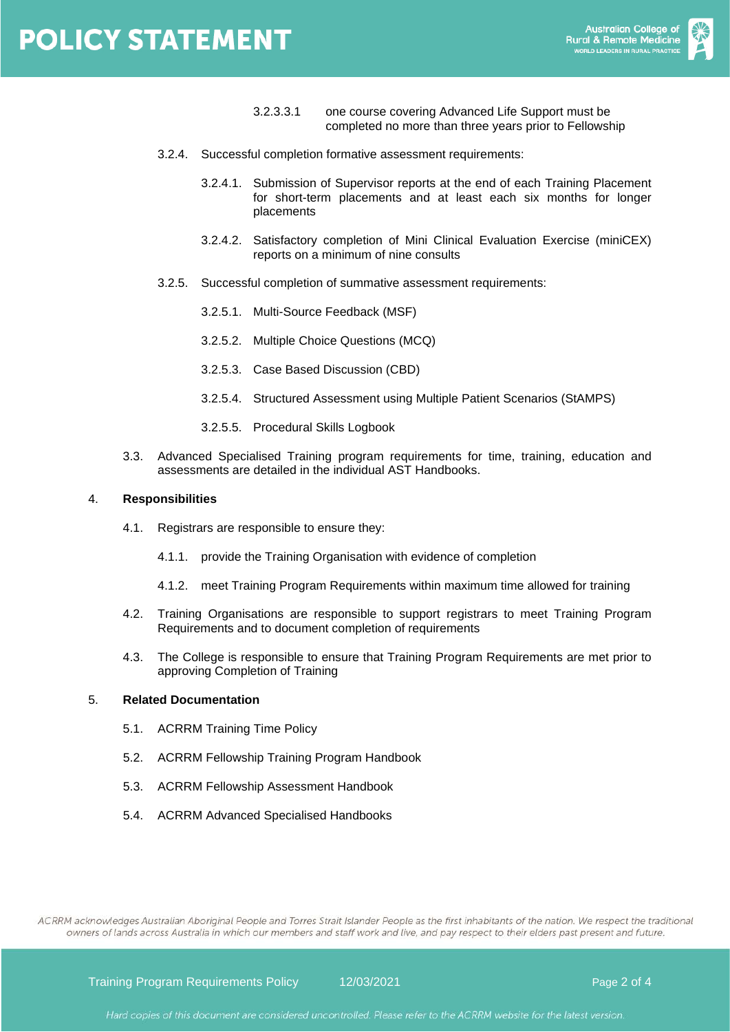# **POLICY STATEMENT**



- 3.2.3.3.1 one course covering Advanced Life Support must be completed no more than three years prior to Fellowship
- 3.2.4. Successful completion formative assessment requirements:
	- 3.2.4.1. Submission of Supervisor reports at the end of each Training Placement for short-term placements and at least each six months for longer placements
	- 3.2.4.2. Satisfactory completion of Mini Clinical Evaluation Exercise (miniCEX) reports on a minimum of nine consults
- 3.2.5. Successful completion of summative assessment requirements:
	- 3.2.5.1. Multi-Source Feedback (MSF)
	- 3.2.5.2. Multiple Choice Questions (MCQ)
	- 3.2.5.3. Case Based Discussion (CBD)
	- 3.2.5.4. Structured Assessment using Multiple Patient Scenarios (StAMPS)
	- 3.2.5.5. Procedural Skills Logbook
- 3.3. Advanced Specialised Training program requirements for time, training, education and assessments are detailed in the individual AST Handbooks.

#### 4. **Responsibilities**

- 4.1. Registrars are responsible to ensure they:
	- 4.1.1. provide the Training Organisation with evidence of completion
	- 4.1.2. meet Training Program Requirements within maximum time allowed for training
- 4.2. Training Organisations are responsible to support registrars to meet Training Program Requirements and to document completion of requirements
- 4.3. The College is responsible to ensure that Training Program Requirements are met prior to approving Completion of Training

#### 5. **Related Documentation**

- 5.1. ACRRM Training Time Policy
- 5.2. ACRRM Fellowship Training Program Handbook
- 5.3. ACRRM Fellowship Assessment Handbook
- 5.4. ACRRM Advanced Specialised Handbooks

ACRRM acknowledges Australian Aboriginal People and Torres Strait Islander People as the first inhabitants of the nation. We respect the traditional owners of lands across Australia in which our members and staff work and live, and pay respect to their elders past present and future.

Training Program Requirements Policy 12/03/2021 **Page 2 of 4** and 12/03/2021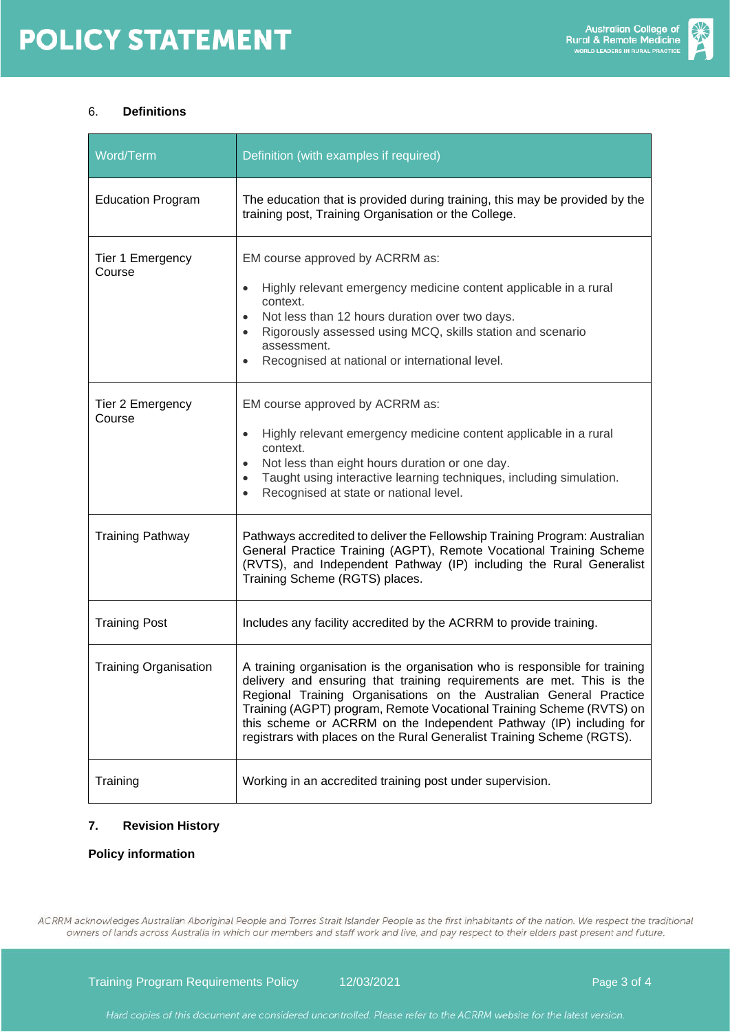

# 6. **Definitions**

| Word/Term                    | Definition (with examples if required)                                                                                                                                                                                                                                                                                                                                                                                                             |  |  |
|------------------------------|----------------------------------------------------------------------------------------------------------------------------------------------------------------------------------------------------------------------------------------------------------------------------------------------------------------------------------------------------------------------------------------------------------------------------------------------------|--|--|
| <b>Education Program</b>     | The education that is provided during training, this may be provided by the<br>training post, Training Organisation or the College.                                                                                                                                                                                                                                                                                                                |  |  |
| Tier 1 Emergency<br>Course   | EM course approved by ACRRM as:<br>Highly relevant emergency medicine content applicable in a rural<br>context.<br>Not less than 12 hours duration over two days.<br>Rigorously assessed using MCQ, skills station and scenario<br>assessment.<br>Recognised at national or international level.                                                                                                                                                   |  |  |
| Tier 2 Emergency<br>Course   | EM course approved by ACRRM as:<br>Highly relevant emergency medicine content applicable in a rural<br>context.<br>Not less than eight hours duration or one day.<br>Taught using interactive learning techniques, including simulation.<br>Recognised at state or national level.                                                                                                                                                                 |  |  |
| <b>Training Pathway</b>      | Pathways accredited to deliver the Fellowship Training Program: Australian<br>General Practice Training (AGPT), Remote Vocational Training Scheme<br>(RVTS), and Independent Pathway (IP) including the Rural Generalist<br>Training Scheme (RGTS) places.                                                                                                                                                                                         |  |  |
| <b>Training Post</b>         | Includes any facility accredited by the ACRRM to provide training.                                                                                                                                                                                                                                                                                                                                                                                 |  |  |
| <b>Training Organisation</b> | A training organisation is the organisation who is responsible for training<br>delivery and ensuring that training requirements are met. This is the<br>Regional Training Organisations on the Australian General Practice<br>Training (AGPT) program, Remote Vocational Training Scheme (RVTS) on<br>this scheme or ACRRM on the Independent Pathway (IP) including for<br>registrars with places on the Rural Generalist Training Scheme (RGTS). |  |  |
| Training                     | Working in an accredited training post under supervision.                                                                                                                                                                                                                                                                                                                                                                                          |  |  |

# **7. Revision History**

# **Policy information**

ACRRM acknowledges Australian Aboriginal People and Torres Strait Islander People as the first inhabitants of the nation. We respect the traditional owners of lands across Australia in which our members and staff work and live, and pay respect to their elders past present and future.

Training Program Requirements Policy 12/03/2021 and 12003/2021